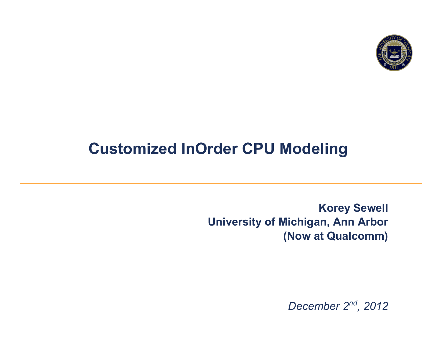

#### **Customized InOrder CPU Modeling**

**Korey Sewell University of Michigan, Ann Arbor (Now at Qualcomm)** 

*December 2nd, 2012*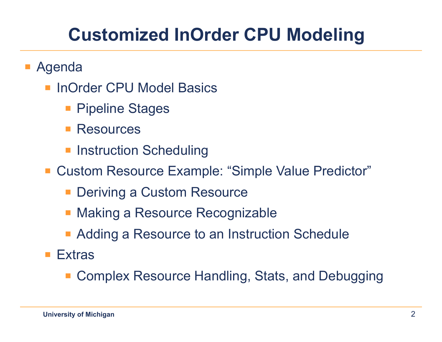### **Customized InOrder CPU Modeling**

- Agenda
	- InOrder CPU Model Basics
		- Pipeline Stages
		- Resources
		- Instruction Scheduling
	- Custom Resource Example: "Simple Value Predictor"
		- Deriving a Custom Resource
		- § Making a Resource Recognizable
		- Adding a Resource to an Instruction Schedule
	- Extras
		- Complex Resource Handling, Stats, and Debugging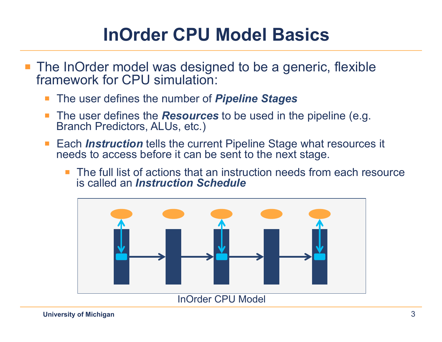#### **InOrder CPU Model Basics**

- The InOrder model was designed to be a generic, flexible framework for CPU simulation:
	- § The user defines the number of *Pipeline Stages*
	- The user defines the **Resources** to be used in the pipeline (e.g. Branch Predictors, ALUs, etc.)
	- Each *Instruction* tells the current Pipeline Stage what resources it needs to access before it can be sent to the next stage.
		- § The full list of actions that an instruction needs from each resource is called an *Instruction Schedule*

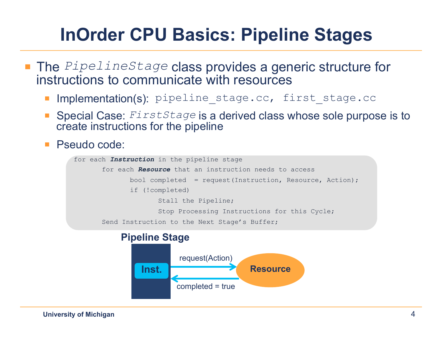## **InOrder CPU Basics: Pipeline Stages**

- The *PipelineStage* class provides a generic structure for instructions to communicate with resources
	- Implementation(s): pipeline stage.cc, first stage.cc
	- § Special Case: *FirstStage* is a derived class whose sole purpose is to create instructions for the pipeline
	- Pseudo code:

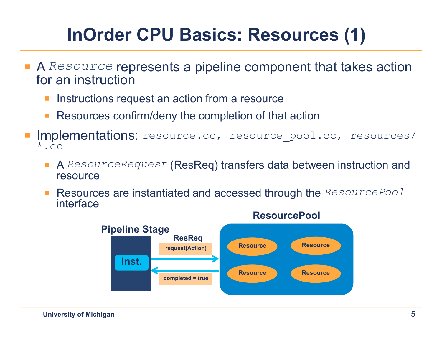# **InOrder CPU Basics: Resources (1)**

- A *Resource* represents a pipeline component that takes action for an instruction
	- Instructions request an action from a resource
	- Resources confirm/deny the completion of that action
- Implementations: resource.cc, resource pool.cc, resources/  $*$ .cc
	- A ResourceRequest (ResReq) transfers data between instruction and resource
	- Resources are instantiated and accessed through the *ResourcePool* interface

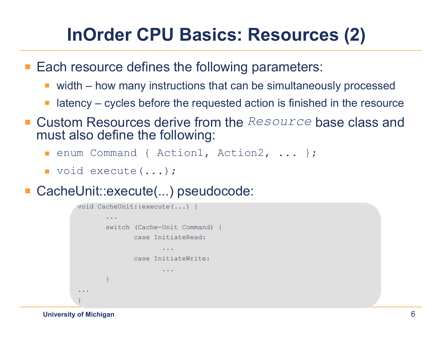## **InOrder CPU Basics: Resources (2)**

■ Each resource defines the following parameters:

- width how many instructions that can be simultaneously processed
- latency cycles before the requested action is finished in the resource
- Custom Resources derive from the *Resource* base class and must also define the following:
	- enum Command { Action1, Action2, ... };
	- § void execute(...);
- CacheUnit::execute(...) pseudocode:



**University of Michigan**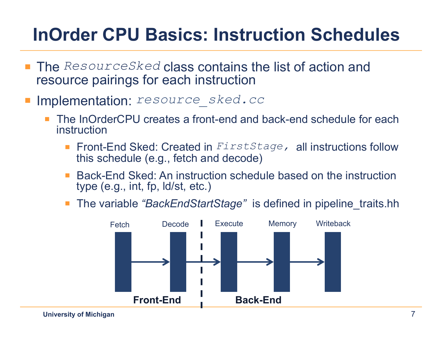#### **InOrder CPU Basics: Instruction Schedules**

- § The *ResourceSked* class contains the list of action and resource pairings for each instruction
- § Implementation: *resource\_sked.cc* 
	- The InOrderCPU creates a front-end and back-end schedule for each instruction
		- Front-End Sked: Created in *FirstStage*, all instructions follow this schedule (e.g., fetch and decode)
		- Back-End Sked: An instruction schedule based on the instruction type (e.g., int, fp, ld/st, etc.)
		- § The variable *"BackEndStartStage"* is defined in pipeline\_traits.hh

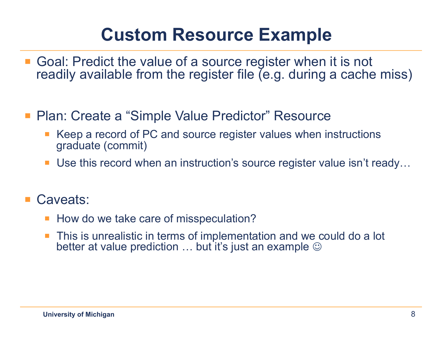#### **Custom Resource Example**

- Goal: Predict the value of a source register when it is not readily available from the register file (e.g. during a cache miss)
- Plan: Create a "Simple Value Predictor" Resource
	- Keep a record of PC and source register values when instructions graduate (commit)
	- Use this record when an instruction's source register value isn't ready...
- Caveats:
	- § How do we take care of misspeculation?
	- This is unrealistic in terms of implementation and we could do a lot better at value prediction  $\ldots$  but it's just an example  $\odot$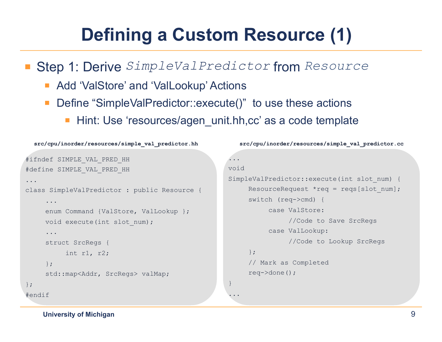# **Defining a Custom Resource (1)**

§ Step 1: Derive *SimpleValPredictor* from *Resource*

- Add 'ValStore' and 'ValLookup' Actions
- Define "SimpleValPredictor::execute()" to use these actions
	- **EXTE: Hint: Use 'resources/agen unit.hh,cc' as a code template**

```
#ifndef SIMPLE_VAL_PRED_HH 
#define SIMPLE_VAL_PRED_HH 
... 
class SimpleValPredictor : public Resource { 
     ... 
     enum Command {ValStore, ValLookup };
     void execute(int slot num);
     ... 
     struct SrcRegs { 
           int r1, r2; 
     }; 
     std::map<Addr, SrcRegs> valMap; 
}; 
#endif
  src/cpu/inorder/resources/simple_val_predictor.hh
                                                        ... 
                                                        void 
                                                        SimpleValPredictor::execute(int slot num) {
                                                              ResourceRequest *req = reqs[slot num];
                                                              switch (req->cmd) { 
                                                                    case ValStore: 
                                                                          //Code to Save SrcRegs 
                                                                    case ValLookup: 
                                                                          //Code to Lookup SrcRegs
                                                              }; 
                                                              // Mark as Completed 
                                                              req->done(); 
                                                        } 
                                                        ... 
                                                           src/cpu/inorder/resources/simple_val_predictor.cc
```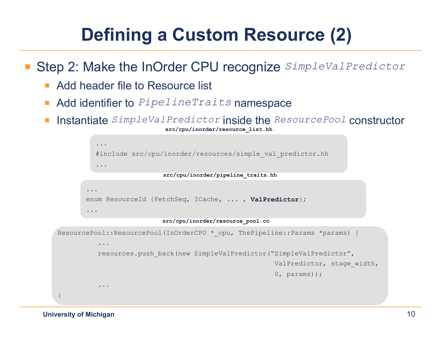# **Defining a Custom Resource (2)**

§ Step 2: Make the InOrder CPU recognize *SimpleValPredictor*

- Add header file to Resource list
- Add identifier to *PipelineTraits* namespace
- § Instantiate *SimpleValPredictor* inside the *ResourcePool* constructor **src/cpu/inorder/resource\_list.hh**

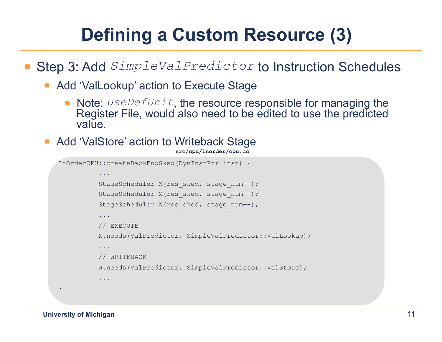# **Defining a Custom Resource (3)**

#### ■ Step 3: Add *SimpleValPredictor* to Instruction Schedules

- Add 'ValLookup' action to Execute Stage
	- Note: *UseDefUnit*, the resource responsible for managing the Register File, would also need to be edited to use the predicted value.
- Add 'ValStore' action to Writeback Stage

```
src/cpu/inorder/cpu.cc
```

```
InOrderCPU::createBackEndSked(DynInstPtr inst) { 
          ... 
          StageScheduler X(res sked, stage num++);
          StageScheduler M(res sked, stage num++);
          StageScheduler W(res sked, stage num++);
          ... 
          // EXECUTE 
          X.needs(ValPredictor, SimpleValPredictor::ValLookup); 
          ... 
          // WRITEBACK 
          W.needs(ValPredictor, SimpleValPredictor::ValStore); 
           ... 
}
```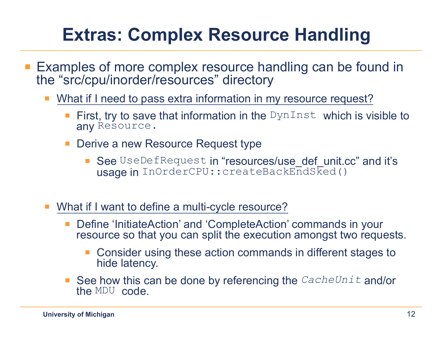### **Extras: Complex Resource Handling**

- Examples of more complex resource handling can be found in the "src/cpu/inorder/resources" directory
	- What if I need to pass extra information in my resource request?
		- **First, try to save that information in the DynInst which is visible to** any Resource.
		- Derive a new Resource Request type
			- See UseDefRequest in "resources/use\_def\_unit.cc" and it's usage in InOrderCPU:: createBackEndSked()
	- What if I want to define a multi-cycle resource?
		- § Define 'InitiateAction' and 'CompleteAction' commands in your resource so that you can split the execution amongst two requests.
			- Consider using these action commands in different stages to hide latency.
		- See how this can be done by referencing the *CacheUnit* and/or the MDU code.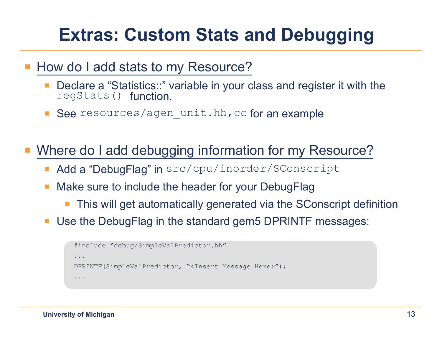### **Extras: Custom Stats and Debugging**

#### § How do I add stats to my Resource?

- Declare a "Statistics::" variable in your class and register it with the regStats() function.
- See resources/agen unit.hh,cc for an example

Where do I add debugging information for my Resource?

- Add a "DebugFlag" in src/cpu/inorder/SConscript
- Make sure to include the header for your DebugFlag
	- This will get automatically generated via the SConscript definition
- Use the DebugFlag in the standard gem5 DPRINTF messages:

```
#include "debug/SimpleValPredictor.hh" 
... 
DPRINTF(SimpleValPredictor, "<Insert Message Here>"); 
...
```